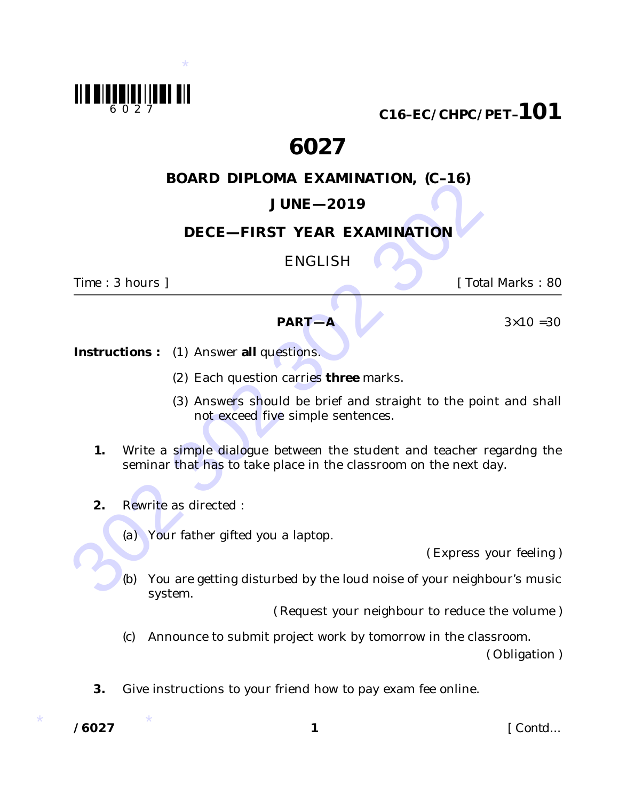

**C16–EC/CHPC/PET–101**

# **6027**

## **BOARD DIPLOMA EXAMINATION, (C–16)**

# **JUNE—2019**

### **DECE—FIRST YEAR EXAMINATION**

ENGLISH

*Time* : 3 hours ] [ *Total Marks* : 80



*Instructions :* (1) Answer **all** questions.

- (2) Each question carries **three** marks.
- (3) Answers should be brief and straight to the point and shall not exceed *five* simple sentences.
- **SUNE -2019**<br> **DECE -- FIRST YEAR EXAMINATION**<br>
ENGLISH<br>
FIME : 3 hours ]<br> **PART-A**<br> **PART-A**<br> **PART-A**<br> **PART-A**<br> **PART-A**<br> **PART-A**<br> **PART-A**<br> **PART-A**<br> **PART-A**<br> **PART-A**<br> **PART-A**<br> **PART-A**<br> **PART-A**<br> **PART-A**<br> **PART-A 1.** Write a simple dialogue between the student and teacher regardng the seminar that has to take place in the classroom on the next day.
	- **2.** Rewrite as directed :
		- *(a)* Your father gifted you a laptop.

( Express your feeling )

*(b)* You are getting disturbed by the loud noise of your neighbour's music system.

( Request your neighbour to reduce the volume )

*(c)* Announce to submit project work by tomorrow in the classroom.

( Obligation )

**3.** Give instructions to your friend how to pay exam fee online.

 $/6027$ 

**/6027 1** [ *Contd...*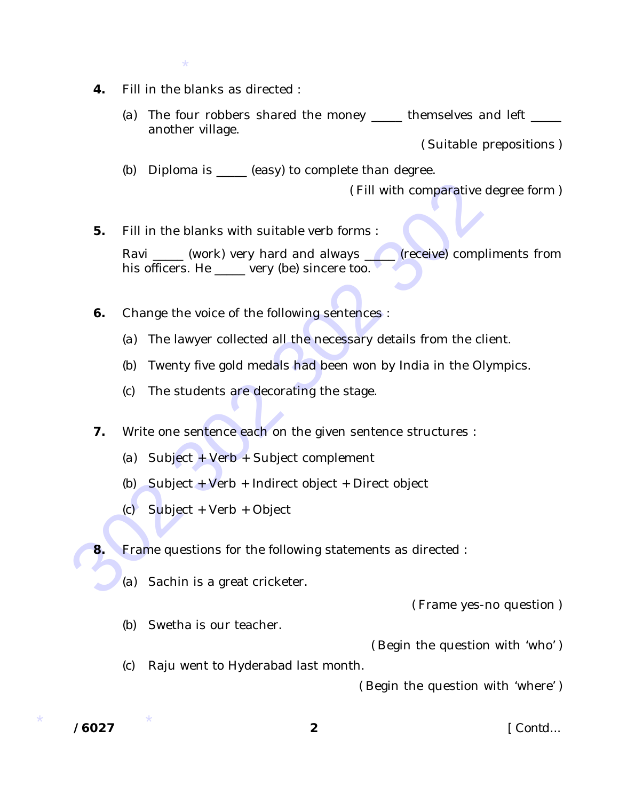- \*
- **4.** Fill in the blanks as directed :
	- *(a)* The four robbers shared the money \_\_\_\_\_ themselves and left \_\_\_\_\_ another village.

( Suitable prepositions )

*(b)* Diploma is \_\_\_\_\_ (easy) to complete than degree.

( Fill with comparative degree form )

- 302 302 302 302 **5.** Fill in the blanks with suitable verb forms : Ravi \_\_\_\_\_\_ (work) very hard and always \_\_\_\_\_\_ (receive) compliments from his officers. He \_\_\_\_\_ very (be) sincere too.
	- **6.** Change the voice of the following sentences :
		- *(a)* The lawyer collected all the necessary details from the client.
		- *(b)* Twenty five gold medals had been won by India in the Olympics.
		- *(c)* The students are decorating the stage.
	- **7.** Write one sentence each on the given sentence structures :
		- *(a)* Subject + Verb + Subject complement
		- *(b)* Subject + Verb + Indirect object + Direct object
		- *(c)* Subject + Verb + Object
	- **8.** Frame questions for the following statements as directed :
		- *(a)* Sachin is a great cricketer.

( Frame yes-no question )

*(b)* Swetha is our teacher.

( Begin the question with 'who' )

*(c)* Raju went to Hyderabad last month.

( Begin the question with 'where' )

 $/ 6027$ 

**/6027 2** [ *Contd...*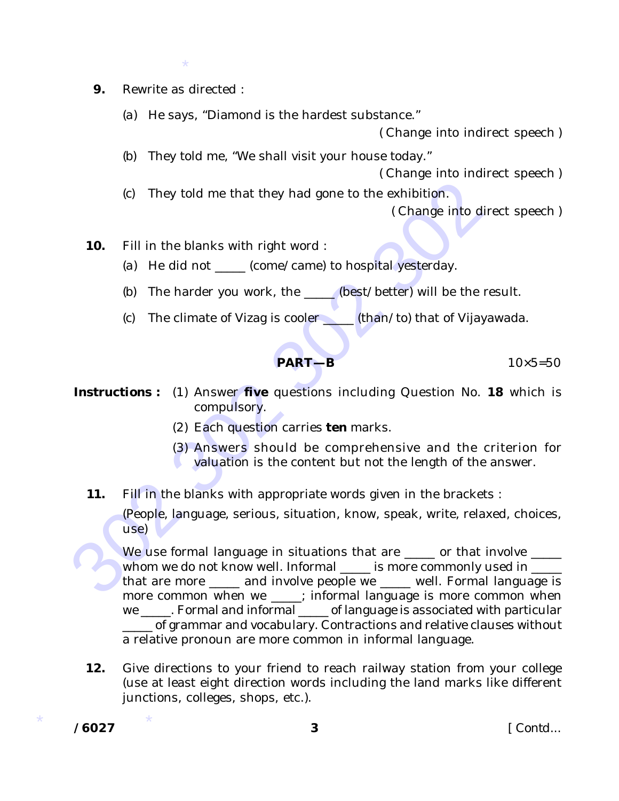- \*
- **9.** Rewrite as directed :
	- *(a)* He says, "Diamond is the hardest substance."

( Change into indirect speech )

*(b)* They told me, "We shall visit your house today."

( Change into indirect speech )

*(c)* They told me that they had gone to the exhibition.

( Change into direct speech )

- **10.** Fill in the blanks with right word :
	- *(a)* He did not \_\_\_\_\_ (come/came) to hospital yesterday.
	- *(b)* The harder you work, the \_\_\_\_\_ (best/better) will be the result.
	- *(c)* The climate of Vizag is cooler \_\_\_\_\_ (than/to) that of Vijayawada.

**PART—B** 10×5=50

- **Instructions**: (1) Answer **five** questions including Question No. **18** which is compulsory.
	- (2) Each question carries **ten** marks.
	- (3) Answers should be comprehensive and the criterion for valuation is the content but not the length of the answer.
	- **11.** Fill in the blanks with appropriate words given in the brackets :

(People, language, serious, situation, know, speak, write, relaxed, choices, use)

302 302 302 302 We use formal language in situations that are same or that involve same. whom we do not know well. Informal \_\_\_\_ is more commonly used in \_\_\_\_ that are more \_\_\_\_\_ and involve people we \_\_\_\_ well. Formal language is more common when we : informal language is more common when we \_\_\_\_\_. Formal and informal \_\_\_\_\_ of language is associated with particular \_\_\_\_\_ of grammar and vocabulary. Contractions and relative clauses without a relative pronoun are more common in informal language.

**12.** Give directions to your friend to reach railway station from your college (use at least eight direction words including the land marks like different junctions, colleges, shops, etc.).

 $/6027$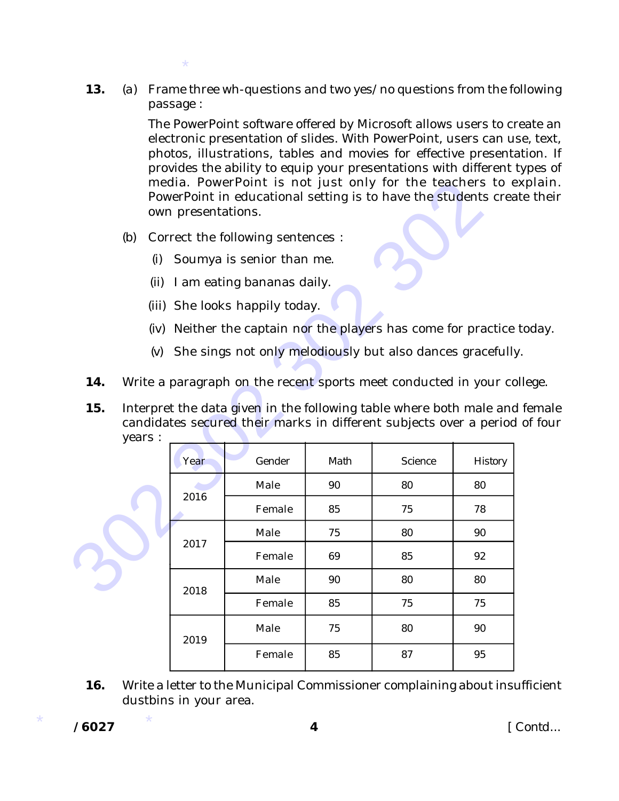**13.** *(a)* Frame three wh-questions and two yes/no questions from the following passage :

> The PowerPoint software offered by Microsoft allows users to create an electronic presentation of slides. With PowerPoint, users can use, text, photos, illustrations, tables and movies for effective presentation. If provides the ability to equip your presentations with different types of media. PowerPoint is not just only for the teachers to explain. PowerPoint in educational setting is to have the students create their own presentations.

\*

- *(i)* Soumya is senior than me.
- *(ii)* I am eating bananas daily.
- *(iii)* She looks happily today.
- *(iv)* Neither the captain nor the players has come for practice today.
- *(v)* She sings not only melodiously but also dances gracefully.
- **14.** Write a paragraph on the recent sports meet conducted in your college.
- **15.** Interpret the data given in the following table where both male and female candidates secured their marks in different subjects over a period of four years :

|                                                                                                                                                                                                                                        |                                                                   | own presentations.             |        |      | media. PowerPoint is not just only for the teachers to e<br>PowerPoint in educational setting is to have the students crea |         |
|----------------------------------------------------------------------------------------------------------------------------------------------------------------------------------------------------------------------------------------|-------------------------------------------------------------------|--------------------------------|--------|------|----------------------------------------------------------------------------------------------------------------------------|---------|
|                                                                                                                                                                                                                                        | (b)<br>Correct the following sentences :                          |                                |        |      |                                                                                                                            |         |
|                                                                                                                                                                                                                                        | (i)                                                               | Soumya is senior than me.      |        |      |                                                                                                                            |         |
|                                                                                                                                                                                                                                        | I am eating bananas daily.<br>(ii)                                |                                |        |      |                                                                                                                            |         |
|                                                                                                                                                                                                                                        |                                                                   | (iii) She looks happily today. |        |      |                                                                                                                            |         |
|                                                                                                                                                                                                                                        | Neither the captain nor the players has come for practice<br>(iv) |                                |        |      |                                                                                                                            |         |
| She sings not only melodiously but also dances gracefully<br>(V)                                                                                                                                                                       |                                                                   |                                |        |      |                                                                                                                            |         |
| 14.<br>Write a paragraph on the recent sports meet conducted in your co<br>Interpret the data given in the following table where both male and<br>15.<br>candidates secured their marks in different subjects over a period<br>years : |                                                                   |                                |        |      |                                                                                                                            |         |
|                                                                                                                                                                                                                                        |                                                                   | Year                           | Gender | Math | Science                                                                                                                    | History |
|                                                                                                                                                                                                                                        |                                                                   | 2016                           | Male   | 90   | 80                                                                                                                         | 80      |
|                                                                                                                                                                                                                                        |                                                                   |                                | Female | 85   | 75                                                                                                                         | 78      |
|                                                                                                                                                                                                                                        |                                                                   | 2017                           | Male   | 75   | 80                                                                                                                         | 90      |
|                                                                                                                                                                                                                                        |                                                                   |                                | Female | 69   | 85                                                                                                                         | 92      |
|                                                                                                                                                                                                                                        |                                                                   | 2018                           | Male   | 90   | 80                                                                                                                         | 80      |
|                                                                                                                                                                                                                                        |                                                                   |                                | Female | 85   | 75                                                                                                                         | 75      |
|                                                                                                                                                                                                                                        |                                                                   | 2019                           | Male   | 75   | 80                                                                                                                         | 90      |
|                                                                                                                                                                                                                                        |                                                                   |                                | Female | 85   | 87                                                                                                                         | 95      |

**16.** Write a letter to the Municipal Commissioner complaining about insufficient dustbins in your area.